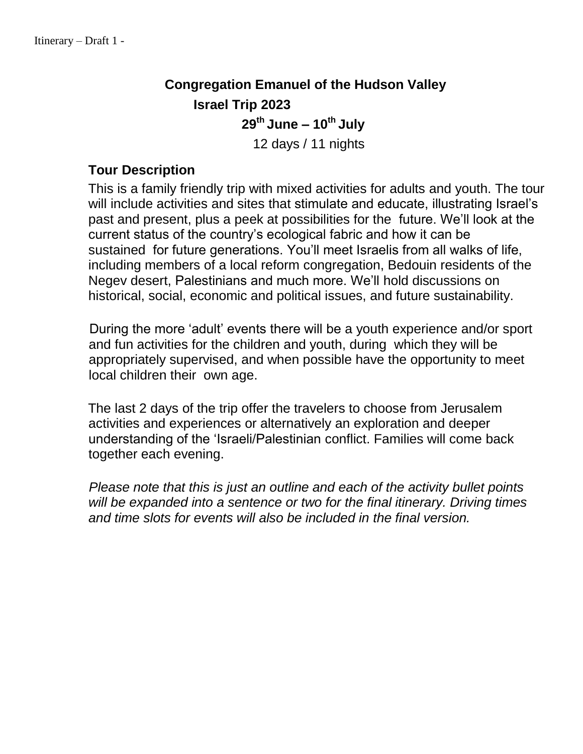# **Congregation Emanuel of the Hudson Valley Israel Trip 2023 29 th June – 10 th July** 12 days / 11 nights

# **Tour Description**

This is a family friendly trip with mixed activities for adults and youth. The tour will include activities and sites that stimulate and educate, illustrating Israel's past and present, plus a peek at possibilities for the future. We'll look at the current status of the country's ecological fabric and how it can be sustained for future generations. You'll meet Israelis from all walks of life, including members of a local reform congregation, Bedouin residents of the Negev desert, Palestinians and much more. We'll hold discussions on historical, social, economic and political issues, and future sustainability.

During the more 'adult' events there will be a youth experience and/or sport and fun activities for the children and youth, during which they will be appropriately supervised, and when possible have the opportunity to meet local children their own age.

The last 2 days of the trip offer the travelers to choose from Jerusalem activities and experiences or alternatively an exploration and deeper understanding of the 'Israeli/Palestinian conflict. Families will come back together each evening.

*Please note that this is just an outline and each of the activity bullet points will be expanded into a sentence or two for the final itinerary. Driving times and time slots for events will also be included in the final version.*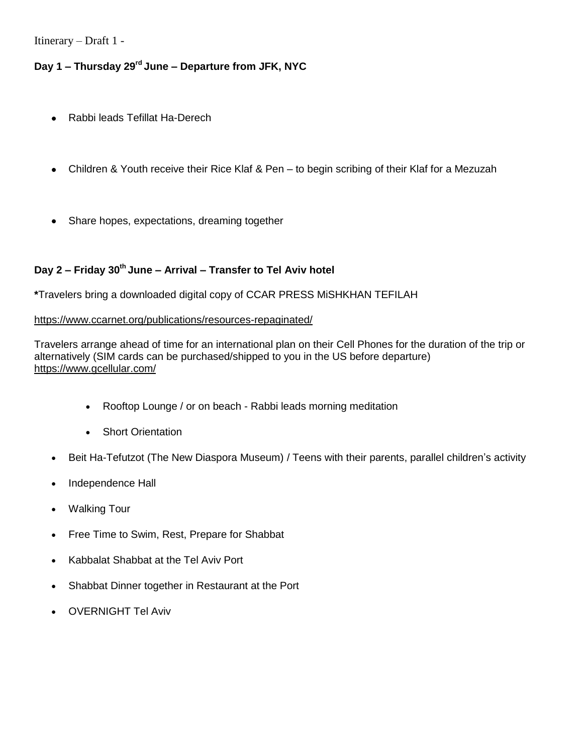# **Day 1 – Thursday 29 rd June – Departure from JFK, NYC**

- Rabbi leads Tefillat Ha-Derech
- Children & Youth receive their Rice Klaf & Pen to begin scribing of their Klaf for a Mezuzah
- Share hopes, expectations, dreaming together

## **Day 2 – Friday 30 th June – Arrival – Transfer to Tel Aviv hotel**

**\***Travelers bring a downloaded digital copy of CCAR PRESS MiSHKHAN TEFILAH

#### <https://www.ccarnet.org/publications/resources-repaginated/>

Travelers arrange ahead of time for an international plan on their Cell Phones for the duration of the trip or alternatively (SIM cards can be purchased/shipped to you in the US before departure) <https://www.gcellular.com/>

- Rooftop Lounge / or on beach Rabbi leads morning meditation
- Short Orientation
- Beit Ha-Tefutzot (The New Diaspora Museum) / Teens with their parents, parallel children's activity
- Independence Hall
- Walking Tour
- Free Time to Swim, Rest, Prepare for Shabbat
- Kabbalat Shabbat at the Tel Aviv Port
- Shabbat Dinner together in Restaurant at the Port
- OVERNIGHT Tel Aviv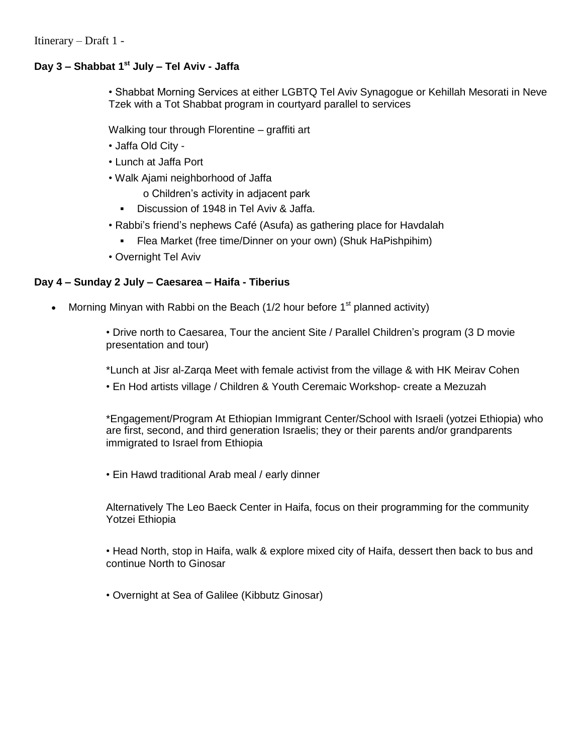#### **Day 3 – Shabbat 1 st July – Tel Aviv - Jaffa**

• Shabbat Morning Services at either LGBTQ Tel Aviv Synagogue or Kehillah Mesorati in Neve Tzek with a Tot Shabbat program in courtyard parallel to services

Walking tour through Florentine – graffiti art

- Jaffa Old City -
- Lunch at Jaffa Port
- Walk Ajami neighborhood of Jaffa

o Children's activity in adjacent park

- Discussion of 1948 in Tel Aviv & Jaffa.
- Rabbi's friend's nephews Café (Asufa) as gathering place for Havdalah
	- Flea Market (free time/Dinner on your own) (Shuk HaPishpihim)
- Overnight Tel Aviv

#### **Day 4 – Sunday 2 July – Caesarea – Haifa - Tiberius**

• Morning Minyan with Rabbi on the Beach (1/2 hour before  $1<sup>st</sup>$  planned activity)

• Drive north to Caesarea, Tour the ancient Site / Parallel Children's program (3 D movie presentation and tour)

\*Lunch at Jisr al-Zarqa Meet with female activist from the village & with HK Meirav Cohen • En Hod artists village / Children & Youth Ceremaic Workshop- create a Mezuzah

\*Engagement/Program At Ethiopian Immigrant Center/School with Israeli (yotzei Ethiopia) who are first, second, and third generation Israelis; they or their parents and/or grandparents immigrated to Israel from Ethiopia

• Ein Hawd traditional Arab meal / early dinner

Alternatively The Leo Baeck Center in Haifa, focus on their programming for the community Yotzei Ethiopia

• Head North, stop in Haifa, walk & explore mixed city of Haifa, dessert then back to bus and continue North to Ginosar

• Overnight at Sea of Galilee (Kibbutz Ginosar)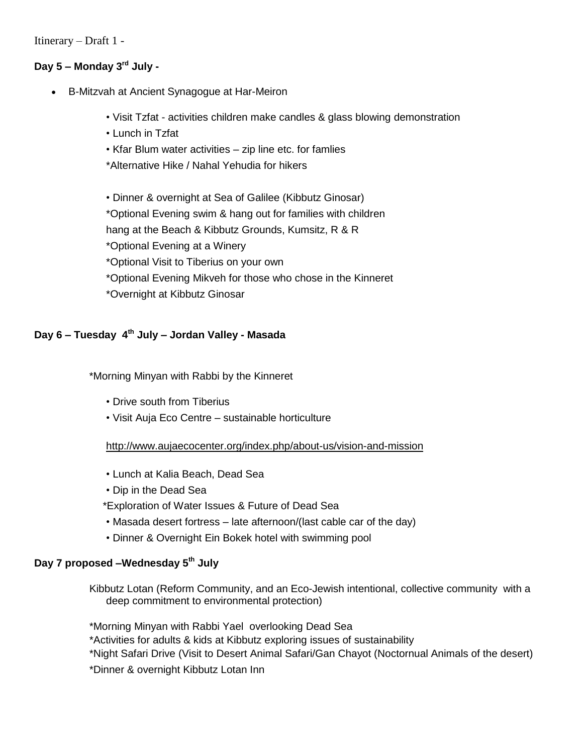## **Day 5 – Monday 3 rd July -**

- B-Mitzvah at Ancient Synagogue at Har-Meiron
	- Visit Tzfat activities children make candles & glass blowing demonstration
	- Lunch in Tzfat
	- Kfar Blum water activities zip line etc. for famlies
	- \*Alternative Hike / Nahal Yehudia for hikers

• Dinner & overnight at Sea of Galilee (Kibbutz Ginosar) \*Optional Evening swim & hang out for families with children hang at the Beach & Kibbutz Grounds, Kumsitz, R & R \*Optional Evening at a Winery \*Optional Visit to Tiberius on your own \*Optional Evening Mikveh for those who chose in the Kinneret \*Overnight at Kibbutz Ginosar

#### **Day 6 – Tuesday 4 th July – Jordan Valley - Masada**

\*Morning Minyan with Rabbi by the Kinneret

- Drive south from Tiberius
- Visit Auja Eco Centre sustainable horticulture

#### <http://www.aujaecocenter.org/index.php/about-us/vision-and-mission>

- Lunch at Kalia Beach, Dead Sea
- Dip in the Dead Sea
- \*Exploration of Water Issues & Future of Dead Sea
- Masada desert fortress late afternoon/(last cable car of the day)
- Dinner & Overnight Ein Bokek hotel with swimming pool

## **Day 7 proposed –Wednesday 5th July**

Kibbutz Lotan (Reform Community, and an Eco-Jewish intentional, collective community with a deep commitment to environmental protection)

\*Morning Minyan with Rabbi Yael overlooking Dead Sea \*Activities for adults & kids at Kibbutz exploring issues of sustainability \*Night Safari Drive (Visit to Desert Animal Safari/Gan Chayot (Noctornual Animals of the desert) \*Dinner & overnight Kibbutz Lotan Inn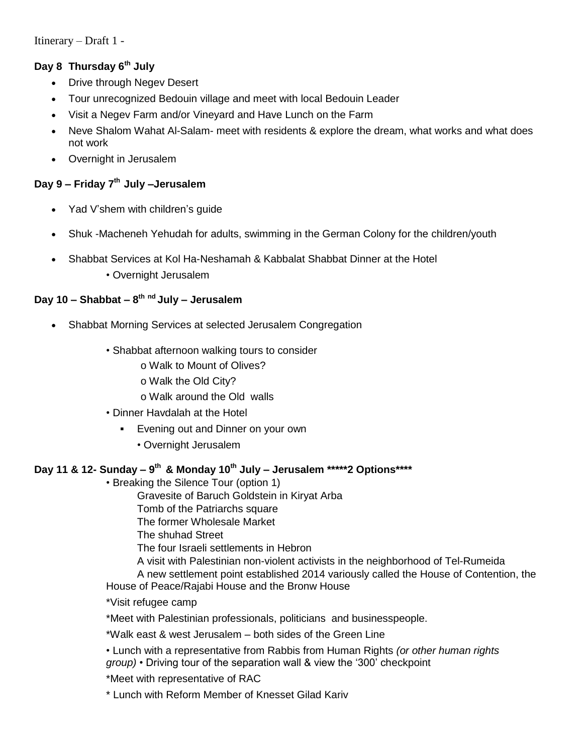# **Day 8 Thursday 6 th July**

- Drive through Negev Desert
- Tour unrecognized Bedouin village and meet with local Bedouin Leader
- Visit a Negev Farm and/or Vineyard and Have Lunch on the Farm
- Neve Shalom Wahat Al-Salam- meet with residents & explore the dream, what works and what does not work
- Overnight in Jerusalem

# **Day 9 – Friday 7 th July –Jerusalem**

- Yad V'shem with children's guide
- Shuk -Macheneh Yehudah for adults, swimming in the German Colony for the children/youth
- Shabbat Services at Kol Ha-Neshamah & Kabbalat Shabbat Dinner at the Hotel
	- Overnight Jerusalem

#### **Day 10 – Shabbat – 8 th nd July – Jerusalem**

- Shabbat Morning Services at selected Jerusalem Congregation
	- Shabbat afternoon walking tours to consider
		- o Walk to Mount of Olives?
		- o Walk the Old City?
		- o Walk around the Old walls
	- Dinner Havdalah at the Hotel
		- **Evening out and Dinner on your own** 
			- Overnight Jerusalem

# **Day 11 & 12- Sunday – 9 th & Monday 10th July – Jerusalem \*\*\*\*\*2 Options\*\*\*\***

• Breaking the Silence Tour (option 1)

Gravesite of Baruch Goldstein in Kiryat Arba

Tomb of the Patriarchs square

The former Wholesale Market

The shuhad Street

The four Israeli settlements in Hebron

A visit with Palestinian non-violent activists in the neighborhood of Tel-Rumeida

A new settlement point established 2014 variously called the House of Contention, the House of Peace/Rajabi House and the Bronw House

\*Visit refugee camp

\*Meet with Palestinian professionals, politicians and businesspeople.

\*Walk east & west Jerusalem – both sides of the Green Line

• Lunch with a representative from Rabbis from Human Rights *(or other human rights group)* • Driving tour of the separation wall & view the '300' checkpoint

\*Meet with representative of RAC

\* Lunch with Reform Member of Knesset Gilad Kariv